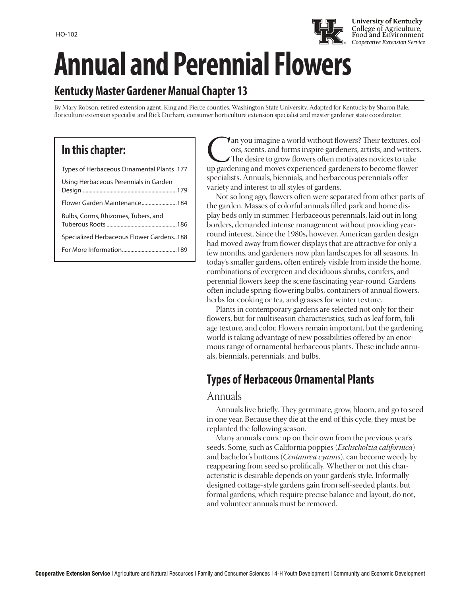

# **Kentucky Master Gardener Manual Chapter 13**

By Mary Robson, retired extension agent, King and Pierce counties, Washington State University. Adapted for Kentucky by Sharon Bale, floriculture extension specialist and Rick Durham, consumer horticulture extension specialist and master gardener state coordinator.

# **In this chapter:**

| Types of Herbaceous Ornamental Plants .177 |  |
|--------------------------------------------|--|
| Using Herbaceous Perennials in Garden      |  |
| Flower Garden Maintenance184               |  |
| Bulbs, Corms, Rhizomes, Tubers, and        |  |
| Specialized Herbaceous Flower Gardens188   |  |
|                                            |  |
|                                            |  |

**Can you imagine a world without flowers?** Their textures, colors, scents, and forms inspire gardeners, artists, and writers.<br>The desire to grow flowers often motivates novices to take up gardening and moves experienced ga ors, scents, and forms inspire gardeners, artists, and writers. The desire to grow flowers often motivates novices to take specialists. Annuals, biennials, and herbaceous perennials offer variety and interest to all styles of gardens.

**University of Kentucky** College of Agriculture, Food and Environment

Not so long ago, flowers often were separated from other parts of the garden. Masses of colorful annuals filled park and home display beds only in summer. Herbaceous perennials, laid out in long borders, demanded intense management without providing yearround interest. Since the 1980s, however, American garden design had moved away from flower displays that are attractive for only a few months, and gardeners now plan landscapes for all seasons. In today's smaller gardens, often entirely visible from inside the home, combinations of evergreen and deciduous shrubs, conifers, and perennial flowers keep the scene fascinating year-round. Gardens often include spring-flowering bulbs, containers of annual flowers, herbs for cooking or tea, and grasses for winter texture.

Plants in contemporary gardens are selected not only for their flowers, but for multiseason characteristics, such as leaf form, foliage texture, and color. Flowers remain important, but the gardening world is taking advantage of new possibilities offered by an enormous range of ornamental herbaceous plants. These include annuals, biennials, perennials, and bulbs.

# **Types of Herbaceous Ornamental Plants**

#### Annuals

Annuals live briefly. They germinate, grow, bloom, and go to seed in one year. Because they die at the end of this cycle, they must be replanted the following season.

Many annuals come up on their own from the previous year's seeds. Some, such as California poppies (*Eschscholzia californica*) and bachelor's buttons (*Centaurea cyanus*), can become weedy by reappearing from seed so prolifically. Whether or not this characteristic is desirable depends on your garden's style. Informally designed cottage-style gardens gain from self-seeded plants, but formal gardens, which require precise balance and layout, do not, and volunteer annuals must be removed.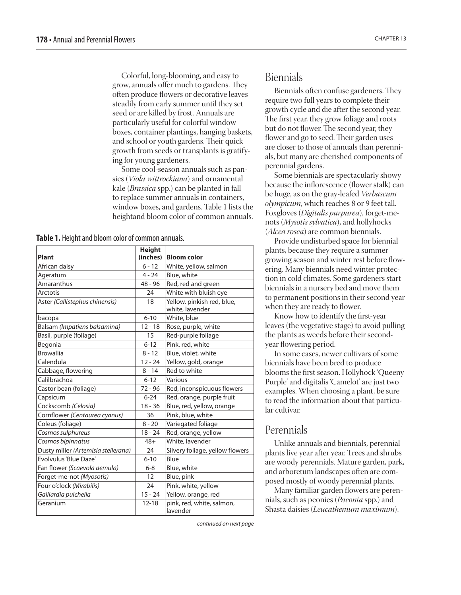Colorful, long-blooming, and easy to grow, annuals offer much to gardens. They often produce flowers or decorative leaves steadily from early summer until they set seed or are killed by frost. Annuals are particularly useful for colorful window boxes, container plantings, hanging baskets, and school or youth gardens. Their quick growth from seeds or transplants is gratifying for young gardeners.

Some cool-season annuals such as pansies (*Viola wittrockiana*) and ornamental kale (*Brassica* spp.) can be planted in fall to replace summer annuals in containers, window boxes, and gardens. Table 1 lists the heightand bloom color of common annuals.

**Table 1.** Height and bloom color of common annuals.

| Plant                               | <b>Height</b><br>(inches) | <b>Bloom color</b>                            |
|-------------------------------------|---------------------------|-----------------------------------------------|
| African daisy                       | $6 - 12$                  | White, yellow, salmon                         |
| Ageratum                            | $4 - 24$                  | Blue, white                                   |
| Amaranthus                          | $48 - 96$                 | Red, red and green                            |
| Arctotis                            | 24                        | White with bluish eye                         |
| Aster (Callistephus chinensis)      | 18                        | Yellow, pinkish red, blue,<br>white, lavender |
| bacopa                              | $6 - 10$                  | White, blue                                   |
| Balsam (Impatiens balsamina)        | $12 - 18$                 | Rose, purple, white                           |
| Basil, purple (foliage)             | 15                        | Red-purple foliage                            |
| Begonia                             | $6 - 12$                  | Pink, red, white                              |
| <b>Browallia</b>                    | $8 - 12$                  | Blue, violet, white                           |
| Calendula                           | $12 - 24$                 | Yellow, gold, orange                          |
| Cabbage, flowering                  | $8 - 14$                  | Red to white                                  |
| Calilbrachoa                        | $6 - 12$                  | Various                                       |
| Castor bean (foliage)               | $72 - 96$                 | Red, inconspicuous flowers                    |
| Capsicum                            | $6 - 24$                  | Red, orange, purple fruit                     |
| Cockscomb (Celosia)                 | $18 - 36$                 | Blue, red, yellow, orange                     |
| Cornflower (Centaurea cyanus)       | 36                        | Pink, blue, white                             |
| Coleus (foliage)                    | $8 - 20$                  | Variegated foliage                            |
| Cosmos sulphureus                   | $18 - 24$                 | Red, orange, yellow                           |
| Cosmos bipinnatus                   | $48+$                     | White, lavender                               |
| Dusty miller (Artemisia stellerana) | 24                        | Silvery foliage, yellow flowers               |
| Evolvulus 'Blue Daze'               | $6 - 10$                  | Blue                                          |
| Fan flower (Scaevola aemula)        | $6 - 8$                   | Blue, white                                   |
| Forget-me-not (Myosotis)            | 12                        | Blue, pink                                    |
| Four o'clock (Mirabilis)            | 24                        | Pink, white, yellow                           |
| Gaillardia pulchella                | $15 - 24$                 | Yellow, orange, red                           |
| Geranium                            | $12 - 18$                 | pink, red, white, salmon,<br>lavender         |

*continued on next page*

### Biennials

Biennials often confuse gardeners. They require two full years to complete their growth cycle and die after the second year. The first year, they grow foliage and roots but do not flower. The second year, they flower and go to seed. Their garden uses are closer to those of annuals than perennials, but many are cherished components of perennial gardens.

Some biennials are spectacularly showy because the inflorescence (flower stalk) can be huge, as on the gray-leafed *Verbascum olympicum*, which reaches 8 or 9 feet tall. Foxgloves (*Digitalis purpurea*), forget-menots (*Mysotis sylvatica*), and hollyhocks (*Alcea rosea*) are common biennials.

Provide undisturbed space for biennial plants, because they require a summer growing season and winter rest before flowering. Many biennials need winter protection in cold climates. Some gardeners start biennials in a nursery bed and move them to permanent positions in their second year when they are ready to flower.

Know how to identify the first-year leaves (the vegetative stage) to avoid pulling the plants as weeds before their secondyear flowering period.

In some cases, newer cultivars of some biennials have been bred to produce blooms the first season. Hollyhock 'Queeny Purple' and digitalis 'Camelot' are just two examples. When choosing a plant, be sure to read the information about that particular cultivar.

### Perennials

Unlike annuals and biennials, perennial plants live year after year. Trees and shrubs are woody perennials. Mature garden, park, and arboretum landscapes often are composed mostly of woody perennial plants.

Many familiar garden flowers are perennials, such as peonies (*Paeonia* spp.) and Shasta daisies (*Leucathemum maximum*).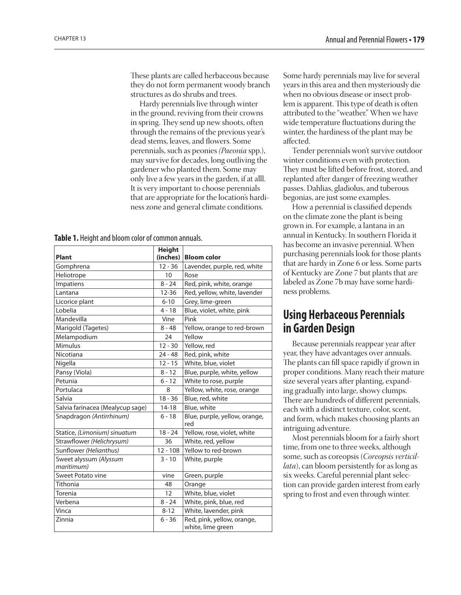<span id="page-2-0"></span>These plants are called herbaceous because they do not form permanent woody branch structures as do shrubs and trees.

Hardy perennials live through winter in the ground, reviving from their crowns in spring. They send up new shoots, often through the remains of the previous year's dead stems, leaves, and flowers. Some perennials, such as peonies *(Paeonia* spp.), may survive for decades, long outliving the gardener who planted them. Some may only live a few years in the garden, if at alll. It is very important to choose perennials that are appropriate for the location's hardiness zone and general climate conditions.

|  |  | Table 1. Height and bloom color of common annuals. |  |  |  |  |
|--|--|----------------------------------------------------|--|--|--|--|
|--|--|----------------------------------------------------|--|--|--|--|

|                                      | <b>Height</b> |                                                 |
|--------------------------------------|---------------|-------------------------------------------------|
| Plant                                | (inches)      | <b>Bloom color</b>                              |
| Gomphrena                            | $12 - 36$     | Lavender, purple, red, white                    |
| Heliotrope                           | 10            | Rose                                            |
| Impatiens                            | $8 - 24$      | Red, pink, white, orange                        |
| Lantana                              | $12 - 36$     | Red, yellow, white, lavender                    |
| Licorice plant                       | $6 - 10$      | Grey, lime-green                                |
| Lobelia                              | $4 - 18$      | Blue, violet, white, pink                       |
| Mandevilla                           | Vine          | Pink                                            |
| Marigold (Tagetes)                   | $8 - 48$      | Yellow, orange to red-brown                     |
| Melampodium                          | 24            | Yellow                                          |
| Mimulus                              | $12 - 30$     | Yellow, red                                     |
| Nicotiana                            | $24 - 48$     | Red, pink, white                                |
| Nigella                              | $12 - 15$     | White, blue, violet                             |
| Pansy (Viola)                        | $8 - 12$      | Blue, purple, white, yellow                     |
| Petunia                              | $6 - 12$      | White to rose, purple                           |
| Portulaca                            | 8             | Yellow, white, rose, orange                     |
| Salvia                               | $18 - 36$     | Blue, red, white                                |
| Salvia farinacea (Mealycup sage)     | $14 - 18$     | Blue, white                                     |
| Snapdragon (Antirrhinum)             | $6 - 18$      | Blue, purple, yellow, orange,<br>red            |
| Statice, (Limonium) sinuatum         | $18 - 24$     | Yellow, rose, violet, white                     |
| Strawflower (Helichrysum)            | 36            | White, red, yellow                              |
| Sunflower (Helianthus)               | $12 - 108$    | Yellow to red-brown                             |
| Sweet alyssum (Alyssum<br>maritimum) | $3 - 10$      | White, purple                                   |
| Sweet Potato vine                    | vine          | Green, purple                                   |
| Tithonia                             | 48            | Orange                                          |
| Torenia                              | 12            | White, blue, violet                             |
| Verbena                              | $8 - 24$      | White, pink, blue, red                          |
| Vinca                                | $8 - 12$      | White, lavender, pink                           |
| Zinnia                               | $6 - 36$      | Red, pink, yellow, orange,<br>white, lime green |

Some hardy perennials may live for several years in this area and then mysteriously die when no obvious disease or insect problem is apparent. This type of death is often attributed to the "weather." When we have wide temperature fluctuations during the winter, the hardiness of the plant may be affected.

Tender perennials won't survive outdoor winter conditions even with protection. They must be lifted before frost, stored, and replanted after danger of freezing weather passes. Dahlias, gladiolus, and tuberous begonias, are just some examples.

How a perennial is classified depends on the climate zone the plant is being grown in. For example, a lantana in an annual in Kentucky. In southern Florida it has become an invasive perennial. When purchasing perennials look for those plants that are hardy in Zone 6 or less. Some parts of Kentucky are Zone 7 but plants that are labeled as Zone 7b may have some hardiness problems.

## **Using Herbaceous Perennials in Garden Design**

Because perennials reappear year after year, they have advantages over annuals. The plants can fill space rapidly if grown in proper conditions. Many reach their mature size several years after planting, expanding gradually into large, showy clumps. There are hundreds of different perennials, each with a distinct texture, color, scent, and form, which makes choosing plants an intriguing adventure.

Most perennials bloom for a fairly short time, from one to three weeks, although some, such as coreopsis (*Coreopsis verticillata*), can bloom persistently for as long as six weeks. Careful perennial plant selection can provide garden interest from early spring to frost and even through winter.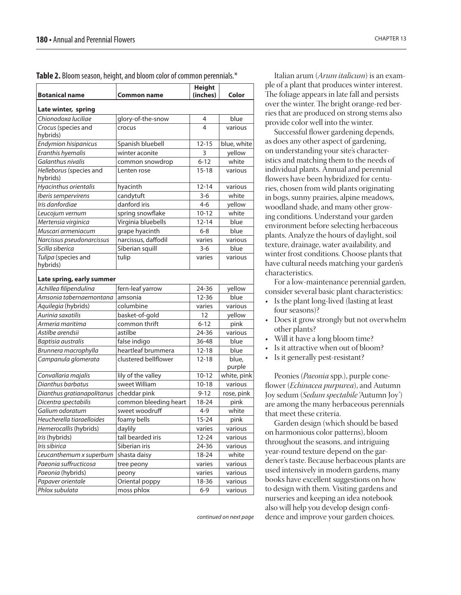| <b>Botanical name</b>               | Common name           | <b>Height</b><br>(inches) | Color           |  |
|-------------------------------------|-----------------------|---------------------------|-----------------|--|
| Late winter, spring                 |                       |                           |                 |  |
| Chionodoxa luciliae                 | glory-of-the-snow     | 4                         | blue            |  |
| Crocus (species and<br>hybrids)     | crocus                | 4                         | various         |  |
| <b>Endymion hisipanicus</b>         | Spanish bluebell      | $12 - 15$                 | blue, white     |  |
| Eranthis hyemalis                   | winter aconite        | 3                         | yellow          |  |
| Galanthus nivalis                   | common snowdrop       | $6 - 12$                  | white           |  |
| Helleborus (species and<br>hybrids) | Lenten rose           | $15 - 18$                 | various         |  |
| Hyacinthus orientalis               | hyacinth              | $12 - 14$                 | various         |  |
| Iberis sempervirens                 | candytuft             | $3-6$                     | white           |  |
| Iris danfordiae                     | danford iris          | $4 - 6$                   | yellow          |  |
| Leucojum vernum                     | spring snowflake      | $10 - 12$                 | white           |  |
| Mertensia virginica                 | Virginia bluebells    | $12 - 14$                 | blue            |  |
| Muscari armeniacum                  | grape hyacinth        | $6 - 8$                   | blue            |  |
| Narcissus pseudonarcissus           | narcissus, daffodil   | varies                    | various         |  |
| Scilla siberica                     | Siberian squill       | $3-6$                     | blue            |  |
| Tulipa (species and<br>hybrids)     | tulip                 | varies                    | various         |  |
| Late spring, early summer           |                       |                           |                 |  |
| Achillea filipendulina              | fern-leaf yarrow      | 24-36                     | yellow          |  |
| Amsonia tabernaemontana             | amsonia               | $12 - 36$                 | blue            |  |
| Aquilegia (hybrids)                 | columbine             | varies                    | various         |  |
| Aurinia saxatilis                   | basket-of-gold        | 12                        | yellow          |  |
| Armeria maritima                    | common thrift         | $6 - 12$                  | pink            |  |
| Astilbe arendsii                    | astilbe               | 24-36                     | various         |  |
| Baptisia australis                  | false indigo          | 36-48                     | blue            |  |
| Brunnera macrophylla                | heartleaf brummera    | $12 - 18$                 | blue            |  |
| Campanula glomerata                 | clustered bellflower  | $12 - 18$                 | blue,<br>purple |  |
| Convallaria majalis                 | lily of the valley    | $10 - 12$                 | white, pink     |  |
| Dianthus barbatus                   | sweet William         | $10 - 18$                 | various         |  |
| Dianthus gratianapolitanus          | cheddar pink          | $9 - 12$                  | rose, pink      |  |
| Dicentra spectabilis                | common bleeding heart | 18-24                     | pink            |  |
| Galium odoratum                     | sweet woodruff        | $4 - 9$                   | white           |  |
| Heucherella tiaraelloides           | foamy bells           | 15-24                     | pink            |  |
| Hemerocallis (hybrids)              | daylily               | varies                    | various         |  |
| Iris (hybrids)                      | tall bearded iris     | $12 - 24$                 | various         |  |
| Iris sibirica                       | Siberian iris         | 24-36                     | various         |  |
| Leucanthemum x superbum             | shasta daisy          | 18-24                     | white           |  |
| Paeonia suffructicosa               | tree peony            | varies                    | various         |  |
| Paeonia (hybrids)                   | peony                 | varies                    | various         |  |
| Papaver orientale                   | Oriental poppy        | 18-36                     | various         |  |
| Phlox subulata                      | moss phlox            | $6 - 9$                   | various         |  |

Italian arum (*Arum italicum*) is an example of a plant that produces winter interest. The foliage appears in late fall and persists over the winter. The bright orange-red berries that are produced on strong stems also provide color well into the winter.

Successful flower gardening depends, as does any other aspect of gardening, on understanding your site's characteristics and matching them to the needs of individual plants. Annual and perennial flowers have been hybridized for centuries, chosen from wild plants originating in bogs, sunny prairies, alpine meadows, woodland shade, and many other growing conditions. Understand your garden environment before selecting herbaceous plants. Analyze the hours of daylight, soil texture, drainage, water availability, and winter frost conditions. Choose plants that have cultural needs matching your garden's characteristics.

For a low-maintenance perennial garden, consider several basic plant characteristics:

- Is the plant long-lived (lasting at least four seasons)?
- Does it grow strongly but not overwhelm other plants?
- Will it have a long bloom time?
- Is it attractive when out of bloom?
- Is it generally pest-resistant?

Peonies (*Paeonia* spp.), purple coneflower (*Echinacea purpurea*), and Autumn Joy sedum (*Sedum spectabile* 'Autumn Joy') are among the many herbaceous perennials that meet these criteria.

Garden design (which should be based on harmonious color patterns), bloom throughout the seasons, and intriguing year-round texture depend on the gardener's taste. Because herbaceous plants are used intensively in modern gardens, many books have excellent suggestions on how to design with them. Visiting gardens and nurseries and keeping an idea notebook also will help you develop design confi*continued on next page* dence and improve your garden choices.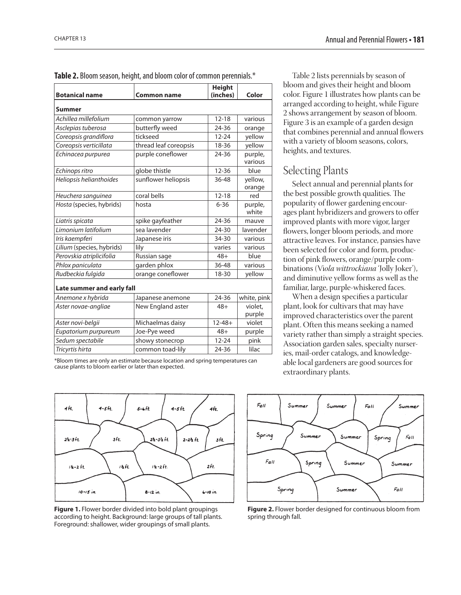| <b>Botanical name</b>      | <b>Common name</b>    | <b>Height</b><br>(inches) | Color              |  |
|----------------------------|-----------------------|---------------------------|--------------------|--|
|                            |                       |                           |                    |  |
| <b>Summer</b>              |                       |                           |                    |  |
| Achillea millefolium       | common yarrow         | $12 - 18$                 | various            |  |
| Asclepias tuberosa         | butterfly weed        | 24-36                     | orange             |  |
| Coreopsis grandiflora      | tickseed              | $12 - 24$                 | yellow             |  |
| Coreopsis verticillata     | thread leaf coreopsis | 18-36                     | yellow             |  |
| Echinacea purpurea         | purple coneflower     | 24-36                     | purple,<br>various |  |
| Echinops ritro             | globe thistle         | $12 - 36$                 | blue               |  |
| Heliopsis helianthoides    | sunflower heliopsis   | 36-48                     | yellow,<br>orange  |  |
| Heuchera sanguinea         | coral bells           | $12 - 18$                 | red                |  |
| Hosta (species, hybrids)   | hosta                 | $6 - 36$                  | purple,<br>white   |  |
| Liatris spicata            | spike gayfeather      | 24-36                     | mauve              |  |
| Limonium latifolium        | sea lavender          | 24-30                     | lavender           |  |
| Iris kaempferi             | Japanese iris         | 34-30                     | various            |  |
| Lilium (species, hybrids)  | lily                  | varies                    | various            |  |
| Perovskia atriplicifolia   | Russian sage          | $48+$                     | blue               |  |
| Phlox paniculata           | garden phlox          | 36-48                     | various            |  |
| Rudbeckia fulgida          | orange coneflower     | 18-30                     | yellow             |  |
| Late summer and early fall |                       |                           |                    |  |
| Anemone x hybrida          | Japanese anemone      | 24-36                     | white, pink        |  |
| Aster novae-angliae        | New England aster     | $48+$                     | violet,<br>purple  |  |
| Aster novi-belgii          | Michaelmas daisy      | $12 - 48 +$               | violet             |  |
| Eupatorium purpureum       | Joe-Pye weed          | $48+$                     | purple             |  |
| Sedum spectabile           | showy stonecrop       | $12 - 24$                 | pink               |  |
| Tricyrtis hirta            | common toad-lily      | 24-36                     | lilac              |  |

**Table 2.** Bloom season, height, and bloom color of common perennials.\*

\*Bloom times are only an estimate because location and spring temperatures can cause plants to bloom earlier or later than expected.



**Figure 1.** Flower border divided into bold plant groupings according to height. Background: large groups of tall plants. Foreground: shallower, wider groupings of small plants.

Table 2 lists perennials by season of bloom and gives their height and bloom color. Figure 1 illustrates how plants can be arranged according to height, while Figure 2 shows arrangement by season of bloom. Figure 3 is an example of a garden design that combines perennial and annual flowers with a variety of bloom seasons, colors, heights, and textures.

### Selecting Plants

Select annual and perennial plants for the best possible growth qualities. The popularity of flower gardening encourages plant hybridizers and growers to offer improved plants with more vigor, larger flowers, longer bloom periods, and more attractive leaves. For instance, pansies have been selected for color and form, production of pink flowers, orange/purple combinations (Vi*ola wittrockiana* 'Jolly Joker'), and diminutive yellow forms as well as the familiar, large, purple-whiskered faces.

When a design specifies a particular plant, look for cultivars that may have improved characteristics over the parent plant. Often this means seeking a named variety rather than simply a straight species. Association garden sales, specialty nurseries, mail-order catalogs, and knowledgeable local gardeners are good sources for extraordinary plants.



**Figure 2.** Flower border designed for continuous bloom from spring through fall.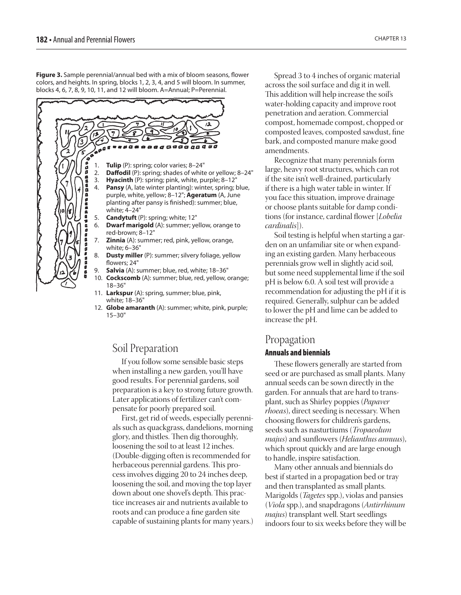**Figure 3.** Sample perennial/annual bed with a mix of bloom seasons, flower colors, and heights. In spring, blocks 1, 2, 3, 4, and 5 will bloom. In summer, blocks 4, 6, 7, 8, 9, 10, 11, and 12 will bloom. A=Annual; P=Perennial.



12. **Globe amaranth** (A): summer; white, pink, purple; 15–30"

### Soil Preparation

If you follow some sensible basic steps when installing a new garden, you'll have good results. For perennial gardens, soil preparation is a key to strong future growth. Later applications of fertilizer can't compensate for poorly prepared soil.

First, get rid of weeds, especially perennials such as quackgrass, dandelions, morning glory, and thistles. Then dig thoroughly, loosening the soil to at least 12 inches. (Double-digging often is recommended for herbaceous perennial gardens. This process involves digging 20 to 24 inches deep, loosening the soil, and moving the top layer down about one shovel's depth. This practice increases air and nutrients available to roots and can produce a fine garden site capable of sustaining plants for many years.)

Spread 3 to 4 inches of organic material across the soil surface and dig it in well. This addition will help increase the soil's water-holding capacity and improve root penetration and aeration. Commercial compost, homemade compost, chopped or composted leaves, composted sawdust, fine bark, and composted manure make good amendments.

Recognize that many perennials form large, heavy root structures, which can rot if the site isn't well-drained, particularly if there is a high water table in winter. If you face this situation, improve drainage or choose plants suitable for damp conditions (for instance, cardinal flower [*Lobelia cardinalis*]).

Soil testing is helpful when starting a garden on an unfamiliar site or when expanding an existing garden. Many herbaceous perennials grow well in slightly acid soil, but some need supplemental lime if the soil pH is below 6.0. A soil test will provide a recommendation for adjusting the pH if it is required. Generally, sulphur can be added to lower the pH and lime can be added to increase the pH.

# Propagation

#### Annuals and biennials

These flowers generally are started from seed or are purchased as small plants. Many annual seeds can be sown directly in the garden. For annuals that are hard to transplant, such as Shirley poppies (*Papaver rhoeas*), direct seeding is necessary. When choosing flowers for children's gardens, seeds such as nasturtiums (*Tropaeolum majus*) and sunflowers (*Helianthus annuus*), which sprout quickly and are large enough to handle, inspire satisfaction.

Many other annuals and biennials do best if started in a propagation bed or tray and then transplanted as small plants. Marigolds (*Tagetes* spp.), violas and pansies (*Viola* spp.), and snapdragons (*Antirrhinum majus*) transplant well. Start seedlings indoors four to six weeks before they will be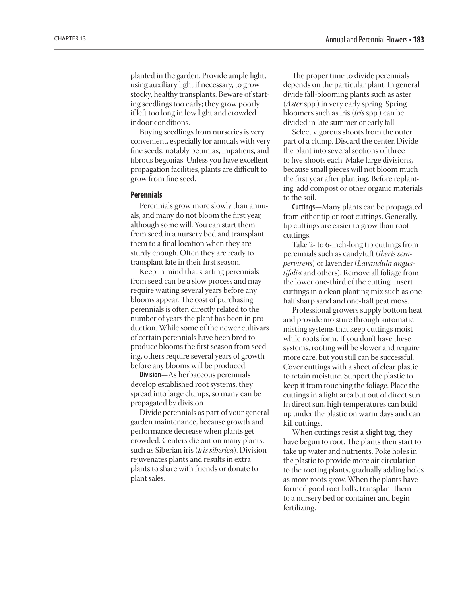planted in the garden. Provide ample light, using auxiliary light if necessary, to grow stocky, healthy transplants. Beware of starting seedlings too early; they grow poorly if left too long in low light and crowded indoor conditions.

Buying seedlings from nurseries is very convenient, especially for annuals with very fine seeds, notably petunias, impatiens, and fibrous begonias. Unless you have excellent propagation facilities, plants are difficult to grow from fine seed.

#### **Perennials**

Perennials grow more slowly than annuals, and many do not bloom the first year, although some will. You can start them from seed in a nursery bed and transplant them to a final location when they are sturdy enough. Often they are ready to transplant late in their first season.

Keep in mind that starting perennials from seed can be a slow process and may require waiting several years before any blooms appear. The cost of purchasing perennials is often directly related to the number of years the plant has been in production. While some of the newer cultivars of certain perennials have been bred to produce blooms the first season from seeding, others require several years of growth before any blooms will be produced.

**Division**—As herbaceous perennials develop established root systems, they spread into large clumps, so many can be propagated by division.

Divide perennials as part of your general garden maintenance, because growth and performance decrease when plants get crowded. Centers die out on many plants, such as Siberian iris (*Iris siberica*). Division rejuvenates plants and results in extra plants to share with friends or donate to plant sales.

The proper time to divide perennials depends on the particular plant. In general divide fall-blooming plants such as aster (*Aster* spp.) in very early spring. Spring bloomers such as iris (*Iris* spp.) can be divided in late summer or early fall.

Select vigorous shoots from the outer part of a clump. Discard the center. Divide the plant into several sections of three to five shoots each. Make large divisions, because small pieces will not bloom much the first year after planting. Before replanting, add compost or other organic materials to the soil.

**Cuttings**—Many plants can be propagated from either tip or root cuttings. Generally, tip cuttings are easier to grow than root cuttings.

Take 2- to 6-inch-long tip cuttings from perennials such as candytuft (*Iberis sempervirens*) or lavender (*Lavandula angustifolia* and others). Remove all foliage from the lower one-third of the cutting. Insert cuttings in a clean planting mix such as onehalf sharp sand and one-half peat moss.

Professional growers supply bottom heat and provide moisture through automatic misting systems that keep cuttings moist while roots form. If you don't have these systems, rooting will be slower and require more care, but you still can be successful. Cover cuttings with a sheet of clear plastic to retain moisture. Support the plastic to keep it from touching the foliage. Place the cuttings in a light area but out of direct sun. In direct sun, high temperatures can build up under the plastic on warm days and can kill cuttings.

When cuttings resist a slight tug, they have begun to root. The plants then start to take up water and nutrients. Poke holes in the plastic to provide more air circulation to the rooting plants, gradually adding holes as more roots grow. When the plants have formed good root balls, transplant them to a nursery bed or container and begin fertilizing.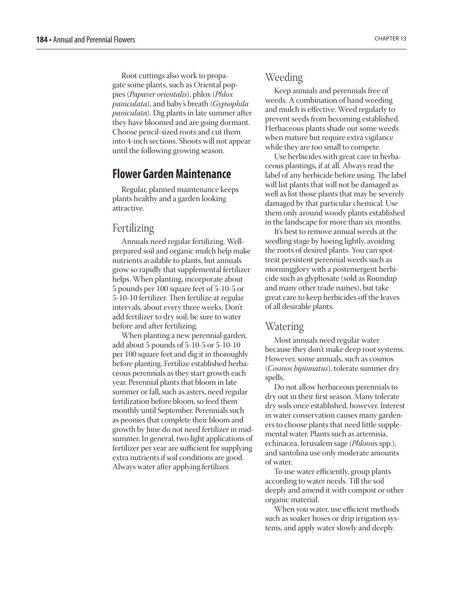<span id="page-7-0"></span>Root cuttings also work to propagate some plants, such as Oriental poppies (*Papaver orientalis*), phlox (*Phlox paniculata*), and baby's breath (*Gypsophila paniculata*). Dig plants in late summer after they have bloomed and are going dormant. Choose pencil-sized roots and cut them into 4-inch sections. Shoots will not appear until the following growing season.

## **Flower Garden Maintenance**

Regular, planned maintenance keeps plants healthy and a garden looking attractive.

## Fertilizing

Annuals need regular fertilizing. Wellprepared soil and organic mulch help make nutrients available to plants, but annuals grow so rapidly that supplemental fertilizer helps. When planting, incorporate about 5 pounds per 100 square feet of 5-10-5 or 5-10-10 fertilizer. Then fertilize at regular intervals, about every three weeks. Don't add fertilizer to dry soil; be sure to water before and after fertilizing.

When planting a new perennial garden, add about 5 pounds of 5-10-5 or 5-10-10 per 100 square feet and dig it in thoroughly before planting. Fertilize established herbaceous perennials as they start growth each year. Perennial plants that bloom in late summer or fall, such as asters, need regular fertilization before bloom, so feed them monthly until September. Perennials such as peonies that complete their bloom and growth by June do not need fertilizer in midsummer. In general, two light applications of fertilizer per year are sufficient for supplying extra nutrients if soil conditions are good. Always water after applying fertilizer.

## Weeding

Keep annuals and perennials free of weeds. A combination of hand weeding and mulch is effective. Weed regularly to prevent seeds from becoming established. Herbaceous plants shade out some weeds when mature but require extra vigilance while they are too small to compete.

Use herbicides with great care in herbaceous plantings, if at all. Always read the label of any herbicide before using. The label will list plants that will not be damaged as well as list those plants that may be severely damaged by that particular chemical. Use them only around woody plants established in the landscape for more than six months.

It's best to remove annual weeds at the seedling stage by hoeing lightly, avoiding the roots of desired plants. You can spottreat persistent perennial weeds such as morningglory with a postemergent herbicide such as glyphosate (sold as Roundup and many other trade names), but take great care to keep herbicides off the leaves of all desirable plants.

#### Watering

Most annuals need regular water because they don't make deep root systems. However, some annuals, such as cosmos (*Cosmos bipinnatus*), tolerate summer dry spells.

Do not allow herbaceous perennials to dry out in their first season. Many tolerate dry soils once established, however. Interest in water conservation causes many gardeners to choose plants that need little supplemental water. Plants such as artemisia, echinacea, Jerusalem sage (*Phlomi*s spp.), and santolina use only moderate amounts of water.

To use water efficiently, group plants according to water needs. Till the soil deeply and amend it with compost or other organic material.

When you water, use efficient methods such as soaker hoses or drip irrigation systems, and apply water slowly and deeply.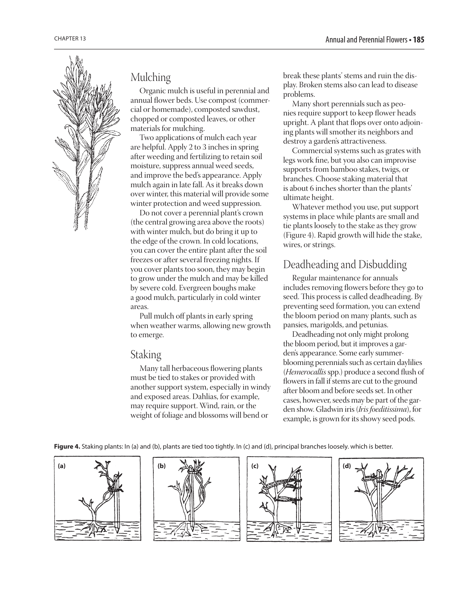

## Mulching

Organic mulch is useful in perennial and annual flower beds. Use compost (commercial or homemade), composted sawdust, chopped or composted leaves, or other materials for mulching.

Two applications of mulch each year are helpful. Apply 2 to 3 inches in spring after weeding and fertilizing to retain soil moisture, suppress annual weed seeds, and improve the bed's appearance. Apply mulch again in late fall. As it breaks down over winter, this material will provide some winter protection and weed suppression.

Do not cover a perennial plant's crown (the central growing area above the roots) with winter mulch, but do bring it up to the edge of the crown. In cold locations, you can cover the entire plant after the soil freezes or after several freezing nights. If you cover plants too soon, they may begin to grow under the mulch and may be killed by severe cold. Evergreen boughs make a good mulch, particularly in cold winter areas.

Pull mulch off plants in early spring when weather warms, allowing new growth to emerge.

## Staking

Many tall herbaceous flowering plants must be tied to stakes or provided with another support system, especially in windy and exposed areas. Dahlias, for example, may require support. Wind, rain, or the weight of foliage and blossoms will bend or

break these plants' stems and ruin the display. Broken stems also can lead to disease problems.

Many short perennials such as peonies require support to keep flower heads upright. A plant that flops over onto adjoining plants will smother its neighbors and destroy a garden's attractiveness.

Commercial systems such as grates with legs work fine, but you also can improvise supports from bamboo stakes, twigs, or branches. Choose staking material that is about 6 inches shorter than the plants' ultimate height.

Whatever method you use, put support systems in place while plants are small and tie plants loosely to the stake as they grow (Figure 4). Rapid growth will hide the stake, wires, or strings.

## Deadheading and Disbudding

Regular maintenance for annuals includes removing flowers before they go to seed. This process is called deadheading. By preventing seed formation, you can extend the bloom period on many plants, such as pansies, marigolds, and petunias.

Deadheading not only might prolong the bloom period, but it improves a garden's appearance. Some early summerblooming perennials such as certain daylilies (*Hemerocallis* spp.) produce a second flush of flowers in fall if stems are cut to the ground after bloom and before seeds set. In other cases, however, seeds may be part of the garden show. Gladwin iris (*Iris foeditissima*), for example, is grown for its showy seed pods.

**Figure 4.** Staking plants: In (a) and (b), plants are tied too tightly. In (c) and (d), principal branches loosely. which is better.

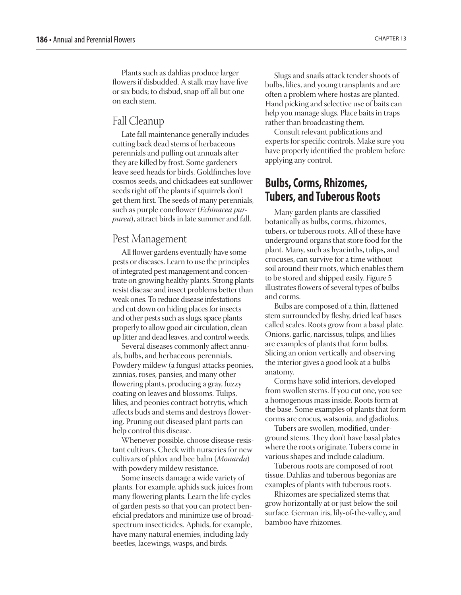## <span id="page-9-0"></span>Fall Cleanup

Late fall maintenance generally includes cutting back dead stems of herbaceous perennials and pulling out annuals after they are killed by frost. Some gardeners leave seed heads for birds. Goldfinches love cosmos seeds, and chickadees eat sunflower seeds right off the plants if squirrels don't get them first. The seeds of many perennials, such as purple coneflower (*Echinacea purpurea*), attract birds in late summer and fall.

### Pest Management

All flower gardens eventually have some pests or diseases. Learn to use the principles of integrated pest management and concentrate on growing healthy plants. Strong plants resist disease and insect problems better than weak ones. To reduce disease infestations and cut down on hiding places for insects and other pests such as slugs, space plants properly to allow good air circulation, clean up litter and dead leaves, and control weeds.

Several diseases commonly affect annuals, bulbs, and herbaceous perennials. Powdery mildew (a fungus) attacks peonies, zinnias, roses, pansies, and many other flowering plants, producing a gray, fuzzy coating on leaves and blossoms. Tulips, lilies, and peonies contract botrytis, which affects buds and stems and destroys flowering. Pruning out diseased plant parts can help control this disease.

Whenever possible, choose disease-resistant cultivars. Check with nurseries for new cultivars of phlox and bee balm (*Monarda*) with powdery mildew resistance.

Some insects damage a wide variety of plants. For example, aphids suck juices from many flowering plants. Learn the life cycles of garden pests so that you can protect beneficial predators and minimize use of broadspectrum insecticides. Aphids, for example, have many natural enemies, including lady beetles, lacewings, wasps, and birds.

Slugs and snails attack tender shoots of bulbs, lilies, and young transplants and are often a problem where hostas are planted. Hand picking and selective use of baits can help you manage slugs. Place baits in traps rather than broadcasting them.

Consult relevant publications and experts for specific controls. Make sure you have properly identified the problem before applying any control.

## **Bulbs, Corms, Rhizomes, Tubers, and Tuberous Roots**

Many garden plants are classified botanically as bulbs, corms, rhizomes, tubers, or tuberous roots. All of these have underground organs that store food for the plant. Many, such as hyacinths, tulips, and crocuses, can survive for a time without soil around their roots, which enables them to be stored and shipped easily. Figure 5 illustrates flowers of several types of bulbs and corms.

Bulbs are composed of a thin, flattened stem surrounded by fleshy, dried leaf bases called scales. Roots grow from a basal plate. Onions, garlic, narcissus, tulips, and lilies are examples of plants that form bulbs. Slicing an onion vertically and observing the interior gives a good look at a bulb's anatomy.

Corms have solid interiors, developed from swollen stems. If you cut one, you see a homogenous mass inside. Roots form at the base. Some examples of plants that form corms are crocus, watsonia, and gladiolus.

Tubers are swollen, modified, underground stems. They don't have basal plates where the roots originate. Tubers come in various shapes and include caladium.

Tuberous roots are composed of root tissue. Dahlias and tuberous begonias are examples of plants with tuberous roots.

Rhizomes are specialized stems that grow horizontally at or just below the soil surface. German iris, lily-of-the-valley, and bamboo have rhizomes.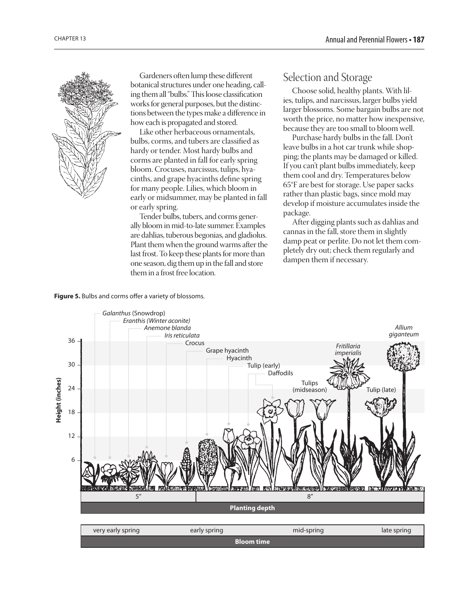

Gardeners often lump these different botanical structures under one heading, calling them all "bulbs." This loose classification works for general purposes, but the distinctions between the types make a difference in how each is propagated and stored.

Like other herbaceous ornamentals, bulbs, corms, and tubers are classified as hardy or tender. Most hardy bulbs and corms are planted in fall for early spring bloom. Crocuses, narcissus, tulips, hyacinths, and grape hyacinths define spring for many people. Lilies, which bloom in early or midsummer, may be planted in fall or early spring.

Tender bulbs, tubers, and corms generally bloom in mid-to-late summer. Examples are dahlias, tuberous begonias, and gladiolus. Plant them when the ground warms after the last frost. To keep these plants for more than one season, dig them up in the fall and store them in a frost free location.

## Selection and Storage

Choose solid, healthy plants. With lilies, tulips, and narcissus, larger bulbs yield larger blossoms. Some bargain bulbs are not worth the price, no matter how inexpensive, because they are too small to bloom well.

Purchase hardy bulbs in the fall. Don't leave bulbs in a hot car trunk while shopping; the plants may be damaged or killed. If you can't plant bulbs immediately, keep them cool and dry. Temperatures below 65°F are best for storage. Use paper sacks rather than plastic bags, since mold may develop if moisture accumulates inside the package.

After digging plants such as dahlias and cannas in the fall, store them in slightly damp peat or perlite. Do not let them completely dry out; check them regularly and dampen them if necessary.

#### **Figure 5.** Bulbs and corms offer a variety of blossoms.



| very early spring | sprino | mid-spring |  |  |
|-------------------|--------|------------|--|--|
| Rloom time        |        |            |  |  |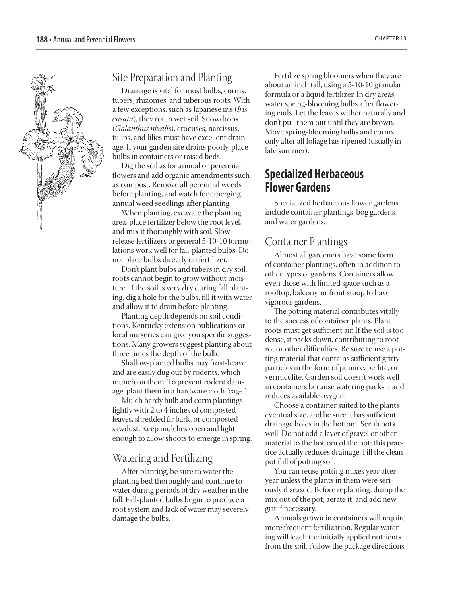<span id="page-11-0"></span>

## Site Preparation and Planting

Drainage is vital for most bulbs, corms, tubers, rhizomes, and tuberous roots. With a few exceptions, such as Japanese iris (*Iris ensata*), they rot in wet soil. Snowdrops (*Galanthus nivalis*), crocuses, narcissus, tulips, and lilies must have excellent drainage. If your garden site drains poorly, place bulbs in containers or raised beds.

Dig the soil as for annual or perennial flowers and add organic amendments such as compost. Remove all perennial weeds before planting, and watch for emerging annual weed seedlings after planting.

When planting, excavate the planting area, place fertilizer below the root level, and mix it thoroughly with soil. Slowrelease fertilizers or general 5-10-10 formulations work well for fall-planted bulbs. Do not place bulbs directly on fertilizer.

Don't plant bulbs and tubers in dry soil; roots cannot begin to grow without moisture. If the soil is very dry during fall planting, dig a hole for the bulbs, fill it with water, and allow it to drain before planting.

Planting depth depends on soil conditions. Kentucky extension publications or local nurseries can give you specific suggestions. Many growers suggest planting about three times the depth of the bulb.

Shallow-planted bulbs may frost-heave and are easily dug out by rodents, which munch on them. To prevent rodent damage, plant them in a hardware cloth "cage."

Mulch hardy bulb and corm plantings lightly with 2 to 4 inches of composted leaves, shredded fir bark, or composted sawdust. Keep mulches open and light enough to allow shoots to emerge in spring.

## Watering and Fertilizing

After planting, be sure to water the planting bed thoroughly and continue to water during periods of dry weather in the fall. Fall-planted bulbs begin to produce a root system and lack of water may severely damage the bulbs.

Fertilize spring bloomers when they are about an inch tall, using a 5-10-10 granular formula or a liquid fertilizer. In dry areas, water spring-blooming bulbs after flowering ends. Let the leaves wither naturally and don't pull them out until they are brown. Move spring-blooming bulbs and corms only after all foliage has ripened (usually in late summer).

## **Specialized Herbaceous Flower Gardens**

Specialized herbaceous flower gardens include container plantings, bog gardens, and water gardens.

### Container Plantings

Almost all gardeners have some form of container plantings, often in addition to other types of gardens. Containers allow even those with limited space such as a rooftop, balcony, or front stoop to have vigorous gardens.

The potting material contributes vitally to the success of container plants. Plant roots must get sufficient air. If the soil is too dense, it packs down, contributing to root rot or other difficulties. Be sure to use a potting material that contains sufficient gritty particles in the form of pumice, perlite, or vermiculite. Garden soil doesn't work well in containers because watering packs it and reduces available oxygen.

Choose a container suited to the plant's eventual size, and be sure it has sufficient drainage holes in the bottom. Scrub pots well. Do not add a layer of gravel or other material to the bottom of the pot; this practice actually reduces drainage. Fill the clean pot full of potting soil.

You can reuse potting mixes year after year unless the plants in them were seriously diseased. Before replanting, dump the mix out of the pot, aerate it, and add new grit if necessary.

Annuals grown in containers will require more frequent fertilization. Regular watering will leach the initially applied nutrients from the soil. Follow the package directions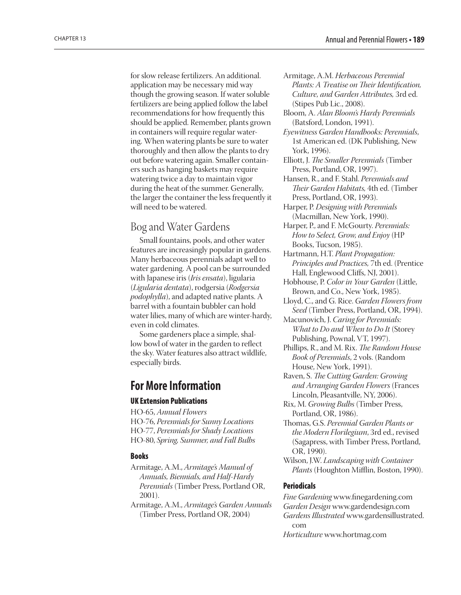<span id="page-12-0"></span>for slow release fertilizers. An additional. application may be necessary mid way though the growing season. If water soluble fertilizers are being applied follow the label recommendations for how frequently this should be applied. Remember, plants grown in containers will require regular watering. When watering plants be sure to water thoroughly and then allow the plants to dry out before watering again. Smaller containers such as hanging baskets may require watering twice a day to maintain vigor during the heat of the summer. Generally, the larger the container the less frequently it will need to be watered.

## Bog and Water Gardens

Small fountains, pools, and other water features are increasingly popular in gardens. Many herbaceous perennials adapt well to water gardening. A pool can be surrounded with Japanese iris (*Iris ensata*), ligularia (*Ligularia dentata*), rodgersia (*Rodgersia podophylla*), and adapted native plants. A barrel with a fountain bubbler can hold water lilies, many of which are winter-hardy, even in cold climates.

Some gardeners place a simple, shallow bowl of water in the garden to reflect the sky. Water features also attract wildlife, especially birds.

## **For More Information**

#### UK Extension Publications

HO-65, *Annual Flowers* HO-76, *Perennials for Sunny Locations* HO-77, *Perennials for Shady Locations* HO-80, *Spring, Summer, and Fall Bulbs*

#### Books

- Armitage, A.M., *Armitage's Manual of Annuals, Biennials, and Half-Hardy Perennials* (Timber Press, Portland OR, 2001).
- Armitage, A.M., *Armitage's Garden Annuals* (Timber Press, Portland OR, 2004)
- Armitage, A.M. *Herbaceous Perennial Plants: A Treatise on Their Identification, Culture, and Garden Attributes,* 3rd ed. (Stipes Pub Lic., 2008).
- Bloom, A. *Alan Bloom's Hardy Perennials*  (Batsford, London, 1991).
- *Eyewitness Garden Handbooks: Perennials*, 1st American ed. (DK Publishing, New York, 1996).
- Elliott, J. *The Smaller Perennials* (Timber Press, Portland, OR, 1997).
- Hansen, R., and F. Stahl. *Perennials and Their Garden Habitats,* 4th ed. (Timber Press, Portland, OR, 1993).
- Harper, P. *Designing with Perennials* (Macmillan, New York, 1990).
- Harper, P., and F. McGourty. *Perennials: How to Select, Grow, and Enjoy* (HP Books, Tucson, 1985).
- Hartmann, H.T. *Plant Propagation: Principles and Practices,* 7th ed. (Prentice Hall, Englewood Cliffs, NJ, 2001).
- Hobhouse, P. *Color in Your Garden* (Little, Brown, and Co., New York, 1985).
- Lloyd, C., and G. Rice. *Garden Flowers from Seed* (Timber Press, Portland, OR, 1994).

Macunovich, J. *Caring for Perennials: What to Do and When to Do It* (Storey Publishing, Pownal, VT, 1997).

- Phillips, R., and M. Rix. *The Random House Book of Perennials*, 2 vols. (Random House, New York, 1991).
- Raven, S. *The Cutting Garden: Growing and Arranging Garden Flowers* (Frances Lincoln, Pleasantville, NY, 2006).
- Rix, M. *Growing Bulbs* (Timber Press, Portland, OR, 1986).
- Thomas, G.S. *Perennial Garden Plants or the Modern Florilegium*, 3rd ed., revised (Sagapress, with Timber Press, Portland, OR, 1990).
- Wilson, J.W. *Landscaping with Container Plants* (Houghton Mifflin, Boston, 1990).

#### Periodicals

*Fine Gardening* www.finegardening.com *Garden Design* www.gardendesign.com *Gardens Illustrated* www.gardensillustrated. com *Horticulture* www.hortmag.com